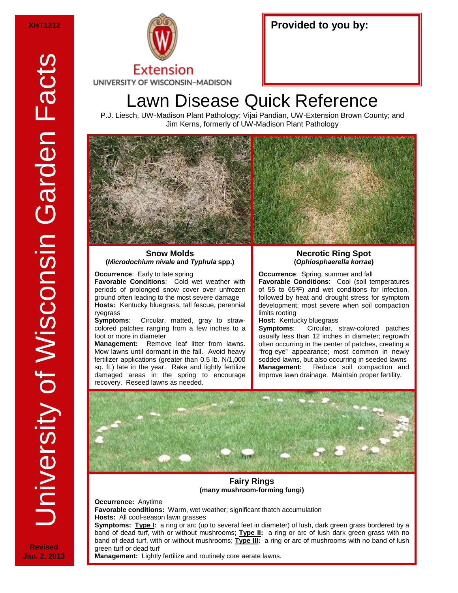

# Lawn Disease Quick Reference

P.J. Liesch, UW-Madison Plant Pathology; Vijai Pandian, UW-Extension Brown County; and Jim Kerns, formerly of UW-Madison Plant Pathology



#### **Snow Molds (***Microdochium nivale* **and** *Typhula* **spp.)**

**Occurrence:** Early to late spring

**Favorable Conditions**: Cold wet weather with periods of prolonged snow cover over unfrozen ground often leading to the most severe damage **Hosts:** Kentucky bluegrass, tall fescue, perennial ryegrass<br>Symptoms:

**Symptoms**: Circular, matted, gray to strawcolored patches ranging from a few inches to a foot or more in diameter

**Management:** Remove leaf litter from lawns. Mow lawns until dormant in the fall. Avoid heavy fertilizer applications (greater than 0.5 lb. N/1,000 sq. ft.) late in the year. Rake and lightly fertilize damaged areas in the spring to encourage recovery. Reseed lawns as needed.

## **Necrotic Ring Spot (***Ophiosphaerella korrae***)**

**Occurrence**: Spring, summer and fall **Favorable Conditions**: Cool (soil temperatures of 55 to  $65^{\circ}F$ ) and wet conditions for infection, followed by heat and drought stress for symptom development; most severe when soil compaction limits rooting

# **Host: Kentucky bluegrass**<br>**Symptoms:** Circular,

**Symptoms**: Circular, straw-colored patches usually less than 12 inches in diameter; regrowth often occurring in the center of patches, creating a "frog-eye" appearance; most common in newly sodded lawns, but also occurring in seeded lawns **Management:** Reduce soil compaction and improve lawn drainage. Maintain proper fertility.



# **Fairy Rings (many mushroom-forming fungi)**

**Occurrence:** Anytime

**Favorable conditions:** Warm, wet weather; significant thatch accumulation **Hosts:** All cool-season lawn grasses

**Symptoms: Type I:** a ring or arc (up to several feet in diameter) of lush, dark green grass bordered by a band of dead turf, with or without mushrooms; **Type II:** a ring or arc of lush dark green grass with no band of dead turf, with or without mushrooms; **Type III:** a ring or arc of mushrooms with no band of lush green turf or dead turf

**Management:** Lightly fertilize and routinely core aerate lawns.

**Revised Jan. 2, 2013**